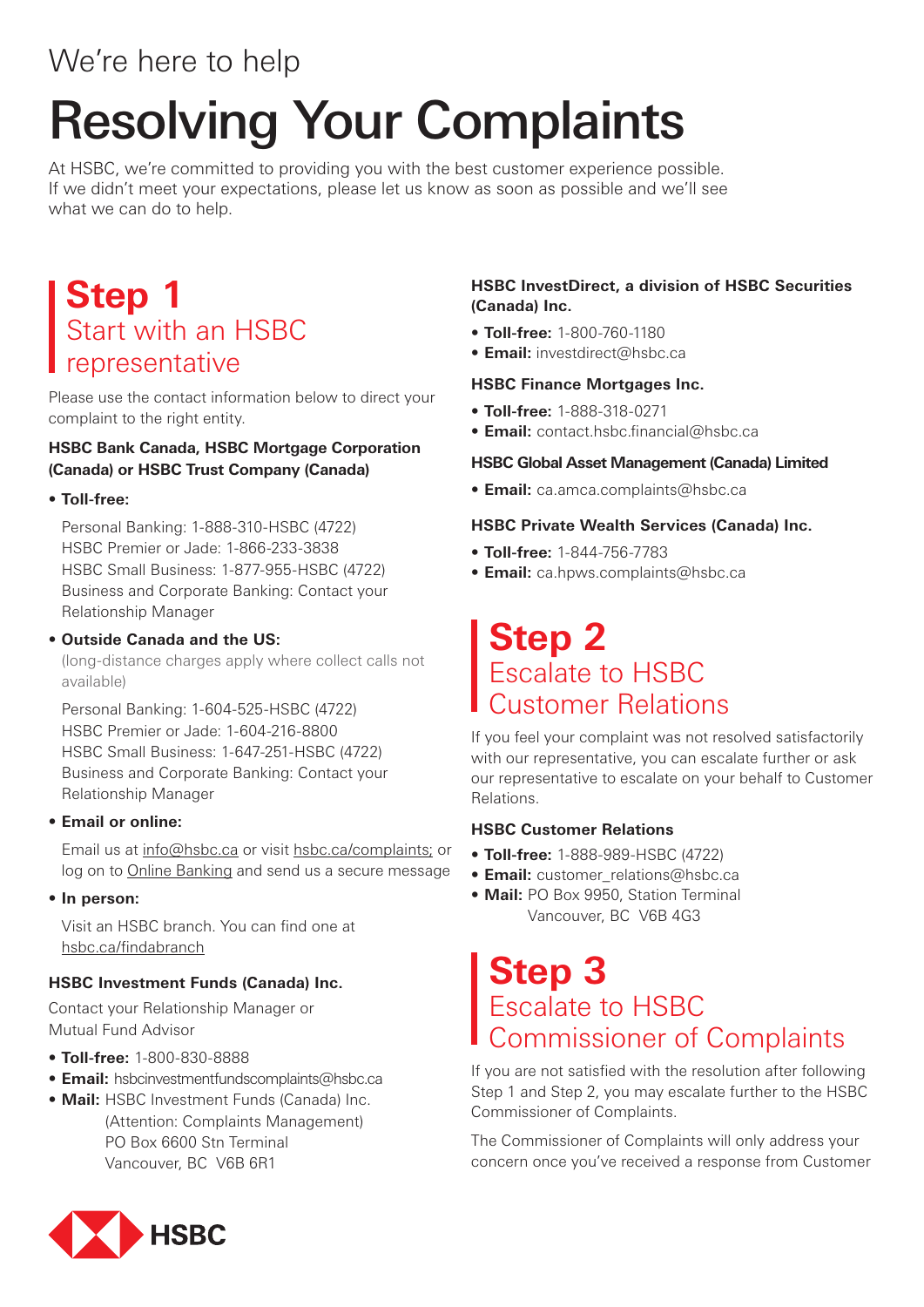# We're here to help

# Resolving Your Complaints

At HSBC, we're committed to providing you with the best customer experience possible. If we didn't meet your expectations, please let us know as soon as possible and we'll see what we can do to help.

# **Step 1** Start with an HSBC representative

Please use the contact information below to direct your complaint to the right entity.

### **HSBC Bank Canada, HSBC Mortgage Corporation (Canada) or HSBC Trust Company (Canada)**

### **• Toll-free:**

Personal Banking: 1-888-310-HSBC (4722) HSBC Premier or Jade: 1-866-233-3838 HSBC Small Business: 1-877-955-HSBC (4722) Business and Corporate Banking: Contact your Relationship Manager

### **• Outside Canada and the US:**

(long-distance charges apply where collect calls not available)

Personal Banking: 1-604-525-HSBC (4722) HSBC Premier or Jade: 1-604-216-8800 HSBC Small Business: 1-647-251-HSBC (4722) Business and Corporate Banking: Contact your Relationship Manager

### **• Email or online:**

Email us at info@hsbc.ca or visit hsbc.ca/complaints; or log on to Online Banking and send us a secure message

**• In person:**

Visit an HSBC branch. You can find one at hsbc.ca/findabranch

### **HSBC Investment Funds (Canada) Inc.**

Contact your Relationship Manager or Mutual Fund Advisor

- **• Toll-free:** 1-800-830-8888
- **• Email:** hsbcinvestmentfundscomplaints@hsbc.ca
- **• Mail:** HSBC Investment Funds (Canada) Inc. (Attention: Complaints Management) PO Box 6600 Stn Terminal Vancouver, BC V6B 6R1

### **HSBC InvestDirect, a division of HSBC Securities (Canada) Inc.**

- **• Toll-free:** 1-800-760-1180
- **• Email:** investdirect@hsbc.ca

### **HSBC Finance Mortgages Inc.**

- **• Toll-free:** 1-888-318-0271
- **• Email:** contact.hsbc.financial@hsbc.ca

### **HSBC Global Asset Management (Canada) Limited**

**• Email:** ca.amca.complaints@hsbc.ca

### **HSBC Private Wealth Services (Canada) Inc.**

- **• Toll-free:** 1-844-756-7783
- **• Email:** ca.hpws.complaints@hsbc.ca

# **Step 2**  Escalate to HSBC Customer Relations

If you feel your complaint was not resolved satisfactorily with our representative, you can escalate further or ask our representative to escalate on your behalf to Customer Relations.

### **HSBC Customer Relations**

- **• Toll-free:** 1-888-989-HSBC (4722)
- **• Email:** customer\_relations@hsbc.ca
- **• Mail:** PO Box 9950, Station Terminal Vancouver, BC V6B 4G3

## **Step 3**  Escalate to HSBC Commissioner of Complaints

If you are not satisfied with the resolution after following Step 1 and Step 2, you may escalate further to the HSBC Commissioner of Complaints.

The Commissioner of Complaints will only address your concern once you've received a response from Customer